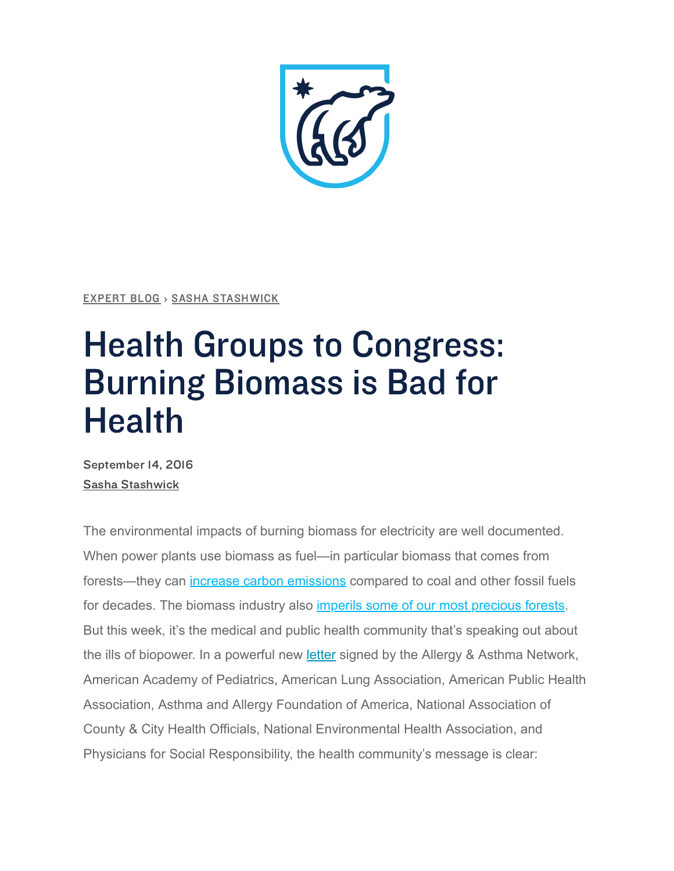[EXPERT](https://www.nrdc.org/blogs) BLOG › SASHA [STASHWICK](https://www.nrdc.org/experts/sasha-stashwick)

## Health Groups to Congress: Burning Biomass is Bad for **Health**

September 14, 2016 Sasha [Stashwick](https://www.nrdc.org/experts/sasha-stashwick)

The environmental impacts of burning biomass for electricity are well documented. When power plants use biomass as fuel—in particular biomass that comes from forests—they can [increase carbon emissions](https://www.nrdc.org/sites/default/files/bioenergy-modelling-IB.pdf) compared to coal and other fossil fuels for decades. The biomass industry also [imperils some of our most precious forests.](https://www.nrdc.org/sites/default/files/southeast-biomass-exports-report.pdf) But this week, it's the medical and public health community that's speaking out about the ills of biopower. In a powerful new [letter](http://www.lung.org/assets/documents/advocacy-archive/health-organizations-letter-biomass.pdf) signed by the Allergy & Asthma Network, American Academy of Pediatrics, American Lung Association, American Public Health Association, Asthma and Allergy Foundation of America, National Association of County & City Health Officials, National Environmental Health Association, and Physicians for Social Responsibility, the health community's message is clear: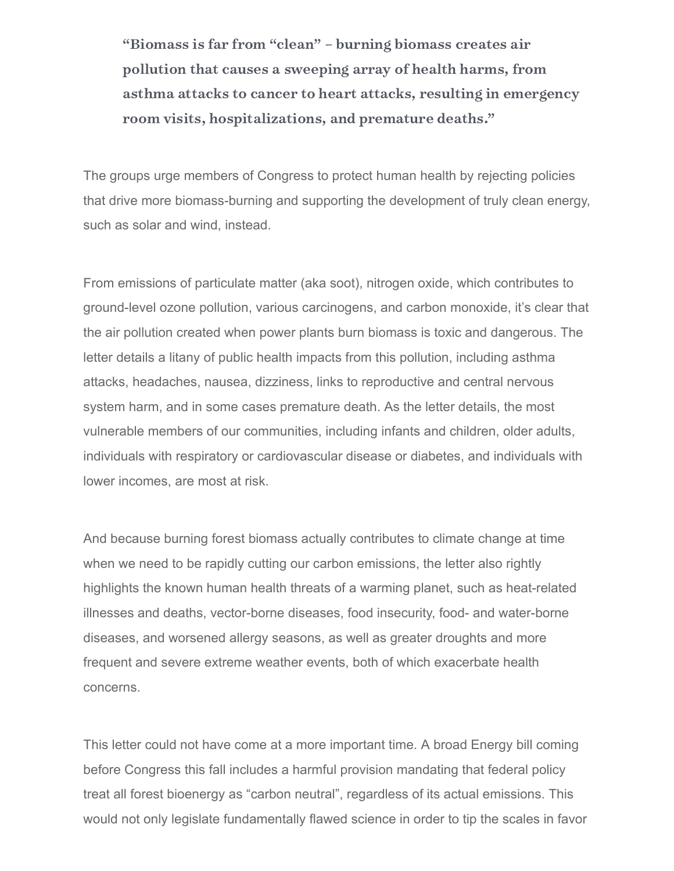"Biomass is far from "clean" – burning biomass creates air pollution that causes a sweeping array of health harms, from asthma attacks to cancer to heart attacks, resulting in emergency room visits, hospitalizations, and premature deaths."

The groups urge members of Congress to protect human health by rejecting policies that drive more biomass-burning and supporting the development of truly clean energy, such as solar and wind, instead.

From emissions of particulate matter (aka soot), nitrogen oxide, which contributes to ground-level ozone pollution, various carcinogens, and carbon monoxide, it's clear that the air pollution created when power plants burn biomass is toxic and dangerous. The letter details a litany of public health impacts from this pollution, including asthma attacks, headaches, nausea, dizziness, links to reproductive and central nervous system harm, and in some cases premature death. As the letter details, the most vulnerable members of our communities, including infants and children, older adults, individuals with respiratory or cardiovascular disease or diabetes, and individuals with lower incomes, are most at risk.

And because burning forest biomass actually contributes to climate change at time when we need to be rapidly cutting our carbon emissions, the letter also rightly highlights the known human health threats of a warming planet, such as heat-related illnesses and deaths, vector-borne diseases, food insecurity, food- and water-borne diseases, and worsened allergy seasons, as well as greater droughts and more frequent and severe extreme weather events, both of which exacerbate health concerns.

This letter could not have come at a more important time. A broad Energy bill coming before Congress this fall includes a harmful provision mandating that federal policy treat all forest bioenergy as "carbon neutral", regardless of its actual emissions. This would not only legislate fundamentally flawed science in order to tip the scales in favor